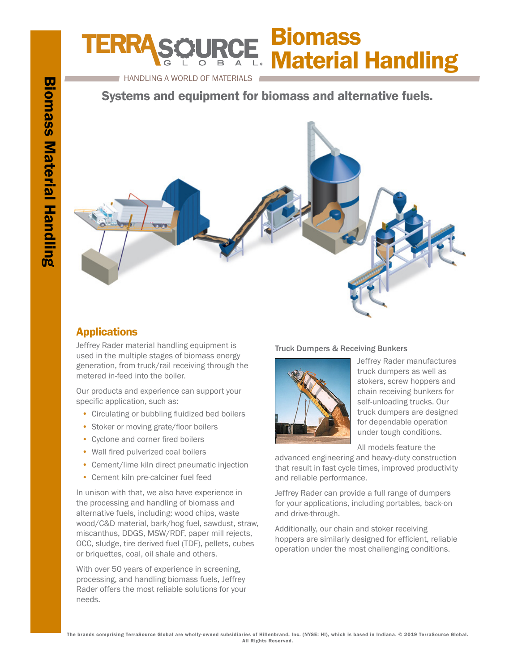# **Biomass** Material Handling

HANDLING A WORLD OF MATERIALS

Systems and equipment for biomass and alternative fuels.



# Applications

Jeffrey Rader material handling equipment is used in the multiple stages of biomass energy generation, from truck/rail receiving through the metered in-feed into the boiler.

Our products and experience can support your specific application, such as:

- Circulating or bubbling fluidized bed boilers
- Stoker or moving grate/floor boilers
- Cyclone and corner fired boilers
- Wall fired pulverized coal boilers
- Cement/lime kiln direct pneumatic injection
- Cement kiln pre-calciner fuel feed

In unison with that, we also have experience in the processing and handling of biomass and alternative fuels, including: wood chips, waste wood/C&D material, bark/hog fuel, sawdust, straw, miscanthus, DDGS, MSW/RDF, paper mill rejects, OCC, sludge, tire derived fuel (TDF), pellets, cubes or briquettes, coal, oil shale and others.

With over 50 years of experience in screening, processing, and handling biomass fuels, Jeffrey Rader offers the most reliable solutions for your needs.

### Truck Dumpers & Receiving Bunkers



Jeffrey Rader manufactures truck dumpers as well as stokers, screw hoppers and chain receiving bunkers for self-unloading trucks. Our truck dumpers are designed for dependable operation under tough conditions.

All models feature the

advanced engineering and heavy-duty construction that result in fast cycle times, improved productivity and reliable performance.

Jeffrey Rader can provide a full range of dumpers for your applications, including portables, back-on and drive-through.

Additionally, our chain and stoker receiving hoppers are similarly designed for efficient, reliable operation under the most challenging conditions.